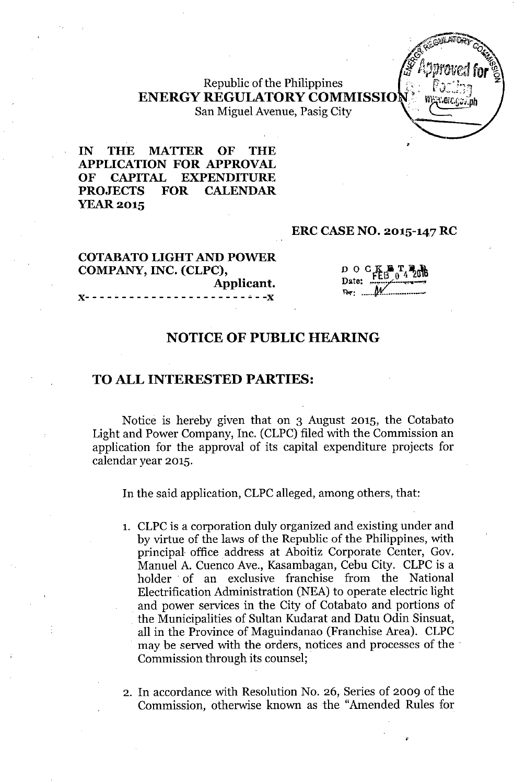# Republic of the Philippines **ENERGY REGULATORY COMMISSIO** San Miguel Avenue, Pasig City

**IN THE MATTER OF THE APPLICATION FOR APPROVAL OF CAPITAL EXPENDITURE PROJECTS FOR CALENDAR** YEAR 2015

#### **ERC CASE NO. 2015-147 RC**

## **COTABATOLIGHT AND POWER COMPANY, INC. (CLPC), Applicant.** )(- - - - - - - - - - - - - - - - - - - - - - ~- -)(

 $D$  O  $C$   $K$   $N$   $T$ <sub>4</sub> $20$ Date:  $FEB = 0.4 \times 10^{10}$ R-T: ••••••*tM(.....•..••••••• -*

,

•

### **NOTICE OF PUBLIC HEARING**

### **TO ALL INTERESTED PARTIES:**

Notice is hereby given that on 3 August 2015, the Cotabato Light and Power Company, Inc. (CLPC) filed with the Commission an application for the approval of its capital expenditure projects for calendar year 2015.

In the said application, CLPC alleged, among others, that:

- 1. CLPC is a corporation duly organized and existing under and by virtue of the laws of the Republic of the Philippines, with principal office address at Aboitiz Corporate Center, Gov. Manuel A. Cuenco Ave., Kasambagan, Cebu City. CLPC is a holder of an exclusive franchise from the National Electrification Administration (NEA) to operate electric light and power services in the City of Cotabato and portions of the Municipalities of Sultan Kudarat and Datu Odin Sinsuat, all in the Province of Maguindanao (Franchise Area). CLPC may be served with the orders, notices and processes of the Commission through its counsel;
- 2. In accordance with Resolution No. 26, Series of 2009 of the Commission, otherwise known as the "Amended Rules for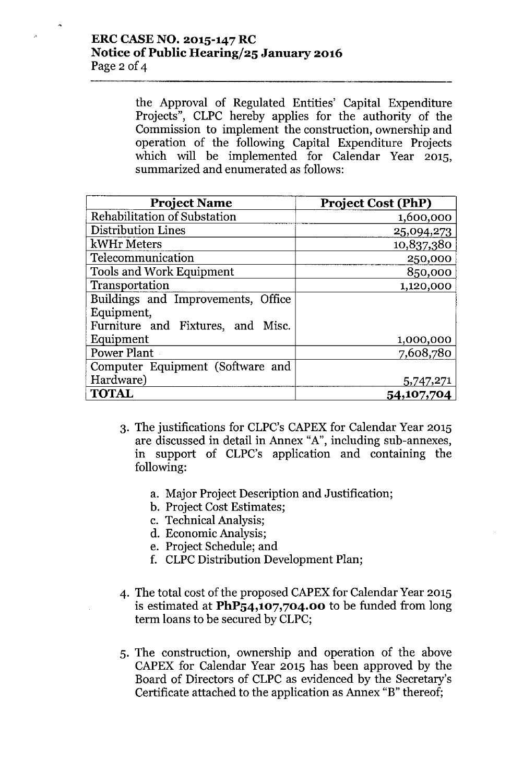# **ERCCASENO. 2015-147 RC Notice** of Public **Hearingj25 January 2016** Page 2 of 4

the Approval of Regulated Entities' Capital Expenditure Projects", CLPC hereby applies for the authority of the Commission to implement the construction, ownership and operation of the following Capital Expenditure Projects which will be implemented for Calendar Year 2015, summarized and enumerated as follows:

| <b>Project Name</b>                | <b>Project Cost (PhP)</b> |
|------------------------------------|---------------------------|
| Rehabilitation of Substation       | 1,600,000                 |
| <b>Distribution Lines</b>          | 25,094,273                |
| kWHr Meters                        | 10,837,380                |
| Telecommunication                  | 250,000                   |
| <b>Tools and Work Equipment</b>    | 850,000                   |
| Transportation                     | 1,120,000                 |
| Buildings and Improvements, Office |                           |
| Equipment,                         |                           |
| Furniture and Fixtures, and Misc.  |                           |
| Equipment                          | 1,000,000                 |
| Power Plant                        | 7,608,780                 |
| Computer Equipment (Software and   |                           |
| Hardware)                          | 5,747,271                 |
| <b>TOTAL</b>                       | 54,107,704                |

- 3. The justifications for CLPC's CAPEX for Calendar Year 2015 are discussed in detail in Annex "A", including sub-annexes, in support of CLPC's application and containing the following:
	- a. Major Project Description and Justification;
	- b. Project Cost Estimates;
	- c. Technical Analysis;
	- d. Economic Analysis;
	- e. Project Schedule; and
	- f. CLPC Distribution Development Plan;
- 4. The total cost of the proposed CAPEX for Calendar Year 2015 is estimated at **PhP54,107,704.00** to be funded from long term loans to be secured by CLPC;
- 5. The construction, ownership and operation of the above CAPEX for Calendar Year 2015 has been approved by the Board of Directors of CLPC as evidenced by the Secretary's Certificate attached to the application as Annex "B" thereof;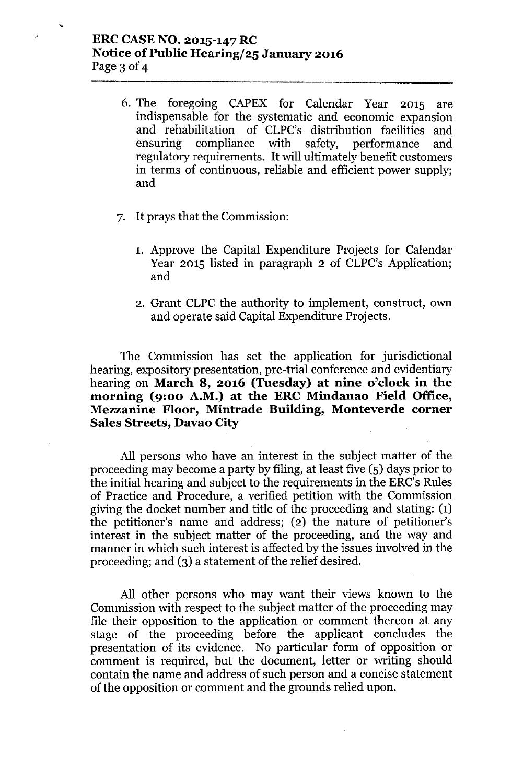# ERCCASENO. 2015-147RC Notice of Public Hearing/25 January 2016 Page 3 of 4

 $\hat{\rho}$ 

- 6. The foregoing CAPEX for Calendar Year 2015 are indispensable for the systematic and economic expansion and rehabilitation of CLPC's distribution facilities and ensuring compliance with safety, performance and regulatory requirements. It will ultimately benefit customers in terms of continuous, reliable and efficient power supply; and
- 7. It prays that the Commission:
	- 1. Approve the Capital Expenditure Projects for Calendar Year 2015 listed in paragraph 2 of CLPC's Application; and
	- 2. Grant CLPC the authority to implement, construct, own and operate said Capital Expenditure Projects.

The Commission has set the application for jurisdictional hearing, expository presentation, pre-trial conference and evidentiary hearing on March 8, 2016 (Tuesday) at nine o'clock in the morning (9:00 A.M.) at the ERC Mindanao Field Office, Mezzanine Floor, Mintrade Building, Monteverde corner Sales Streets, Davao City

All persons who have an interest in the subject matter of the proceeding may become a party by filing, at least five (5) days prior to the initial hearing and subject to the requirements in the ERC's Rules of Practice and Procedure, a verified petition with the Commission giving the docket number and title of the proceeding and stating: (1) the petitioner's name and address; (2) the nature of petitioner's interest in the subject matter of the proceeding, and the way and manner in which such interest is affected by the issues involved in the proceeding; and (3) a statement of the relief desired.

All other persons who may want their views known to the Commission with respect to the subject matter of the proceeding may file their opposition to the application or comment thereon at any stage of the proceeding before the applicant concludes the presentation of its evidence. No particular form of opposition or comment is required, but the document, letter or writing should contain the name and address of such person and a concise statement of the opposition or comment and the grounds relied upon.